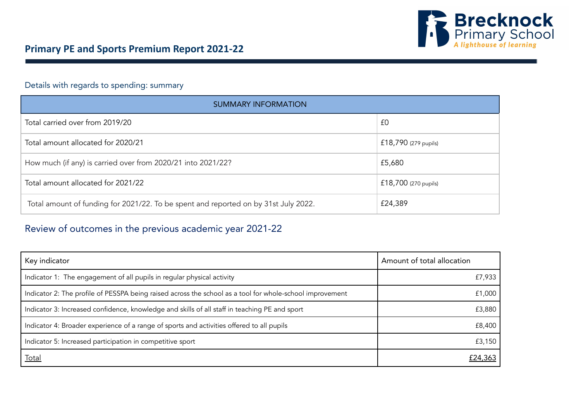

## Details with regards to spending: summary

| SUMMARY INFORMATION                                                                 |                        |  |  |  |  |
|-------------------------------------------------------------------------------------|------------------------|--|--|--|--|
| Total carried over from 2019/20                                                     | £0                     |  |  |  |  |
| Total amount allocated for 2020/21                                                  | £18,790 (279 pupils)   |  |  |  |  |
| How much (if any) is carried over from 2020/21 into 2021/22?                        | £5,680                 |  |  |  |  |
| Total amount allocated for 2021/22                                                  | $£18,700$ (270 pupils) |  |  |  |  |
| Total amount of funding for 2021/22. To be spent and reported on by 31st July 2022. | £24,389                |  |  |  |  |

## Review of outcomes in the previous academic year 2021-22

| Key indicator                                                                                            | Amount of total allocation |  |  |
|----------------------------------------------------------------------------------------------------------|----------------------------|--|--|
| Indicator 1: The engagement of all pupils in regular physical activity                                   | £7,933                     |  |  |
| Indicator 2: The profile of PESSPA being raised across the school as a tool for whole-school improvement | £1,000                     |  |  |
| Indicator 3: Increased confidence, knowledge and skills of all staff in teaching PE and sport            | £3,880                     |  |  |
| Indicator 4: Broader experience of a range of sports and activities offered to all pupils                | £8,400                     |  |  |
| Indicator 5: Increased participation in competitive sport                                                | £3,150                     |  |  |
| <u>Total</u>                                                                                             | £24,363                    |  |  |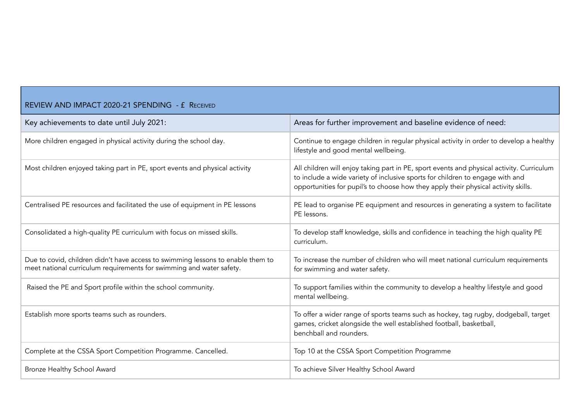| REVIEW AND IMPACT 2020-21 SPENDING - £ RECEIVED                                                                                                         |                                                                                                                                                                                                                                                                  |  |  |  |  |  |
|---------------------------------------------------------------------------------------------------------------------------------------------------------|------------------------------------------------------------------------------------------------------------------------------------------------------------------------------------------------------------------------------------------------------------------|--|--|--|--|--|
| Key achievements to date until July 2021:                                                                                                               | Areas for further improvement and baseline evidence of need:                                                                                                                                                                                                     |  |  |  |  |  |
| More children engaged in physical activity during the school day.                                                                                       | Continue to engage children in regular physical activity in order to develop a healthy<br>lifestyle and good mental wellbeing.                                                                                                                                   |  |  |  |  |  |
| Most children enjoyed taking part in PE, sport events and physical activity                                                                             | All children will enjoy taking part in PE, sport events and physical activity. Curriculum<br>to include a wide variety of inclusive sports for children to engage with and<br>opportunities for pupil's to choose how they apply their physical activity skills. |  |  |  |  |  |
| Centralised PE resources and facilitated the use of equipment in PE lessons                                                                             | PE lead to organise PE equipment and resources in generating a system to facilitate<br>PE lessons.                                                                                                                                                               |  |  |  |  |  |
| Consolidated a high-quality PE curriculum with focus on missed skills.                                                                                  | To develop staff knowledge, skills and confidence in teaching the high quality PE<br>curriculum.                                                                                                                                                                 |  |  |  |  |  |
| Due to covid, children didn't have access to swimming lessons to enable them to<br>meet national curriculum requirements for swimming and water safety. | To increase the number of children who will meet national curriculum requirements<br>for swimming and water safety.                                                                                                                                              |  |  |  |  |  |
| Raised the PE and Sport profile within the school community.                                                                                            | To support families within the community to develop a healthy lifestyle and good<br>mental wellbeing.                                                                                                                                                            |  |  |  |  |  |
| Establish more sports teams such as rounders.                                                                                                           | To offer a wider range of sports teams such as hockey, tag rugby, dodgeball, target<br>games, cricket alongside the well established football, basketball,<br>benchball and rounders.                                                                            |  |  |  |  |  |
| Complete at the CSSA Sport Competition Programme. Cancelled.                                                                                            | Top 10 at the CSSA Sport Competition Programme                                                                                                                                                                                                                   |  |  |  |  |  |
| Bronze Healthy School Award                                                                                                                             | To achieve Silver Healthy School Award                                                                                                                                                                                                                           |  |  |  |  |  |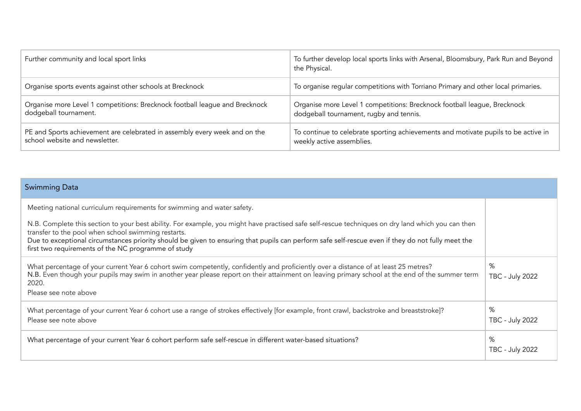| Further community and local sport links                                     | To further develop local sports links with Arsenal, Bloomsbury, Park Run and Beyond<br>the Physical. |
|-----------------------------------------------------------------------------|------------------------------------------------------------------------------------------------------|
| Organise sports events against other schools at Brecknock                   | To organise regular competitions with Torriano Primary and other local primaries.                    |
| Organise more Level 1 competitions: Brecknock football league and Brecknock | Organise more Level 1 competitions: Brecknock football league, Brecknock                             |
| dodgeball tournament.                                                       | dodgeball tournament, rugby and tennis.                                                              |
| PE and Sports achievement are celebrated in assembly every week and on the  | To continue to celebrate sporting achievements and motivate pupils to be active in                   |
| school website and newsletter.                                              | weekly active assemblies.                                                                            |

| <b>Swimming Data</b>                                                                                                                                                                                                                                                                                                                                                                                                 |                             |
|----------------------------------------------------------------------------------------------------------------------------------------------------------------------------------------------------------------------------------------------------------------------------------------------------------------------------------------------------------------------------------------------------------------------|-----------------------------|
| Meeting national curriculum requirements for swimming and water safety.                                                                                                                                                                                                                                                                                                                                              |                             |
| N.B. Complete this section to your best ability. For example, you might have practised safe self-rescue techniques on dry land which you can then<br>transfer to the pool when school swimming restarts.<br>Due to exceptional circumstances priority should be given to ensuring that pupils can perform safe self-rescue even if they do not fully meet the<br>first two requirements of the NC programme of study |                             |
| What percentage of your current Year 6 cohort swim competently, confidently and proficiently over a distance of at least 25 metres?<br>N.B. Even though your pupils may swim in another year please report on their attainment on leaving primary school at the end of the summer term<br>2020.<br>Please see note above                                                                                             | %<br><b>TBC - July 2022</b> |
| What percentage of your current Year 6 cohort use a range of strokes effectively [for example, front crawl, backstroke and breaststroke]?<br>Please see note above                                                                                                                                                                                                                                                   | %<br><b>TBC - July 2022</b> |
| What percentage of your current Year 6 cohort perform safe self-rescue in different water-based situations?                                                                                                                                                                                                                                                                                                          | %<br><b>TBC - July 2022</b> |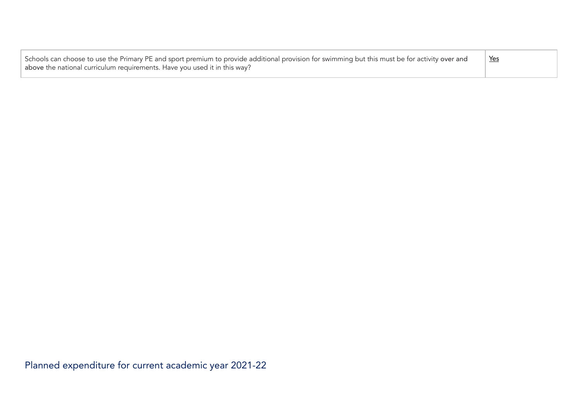| Schools can choose to use the Primary PE and sport premium to provide additional provision for swimming but this must be for activity over and<br>above the national curriculum requirements. Have you used it in this way? | Yes |
|-----------------------------------------------------------------------------------------------------------------------------------------------------------------------------------------------------------------------------|-----|
|                                                                                                                                                                                                                             |     |

Planned expenditure for current academic year 2021-22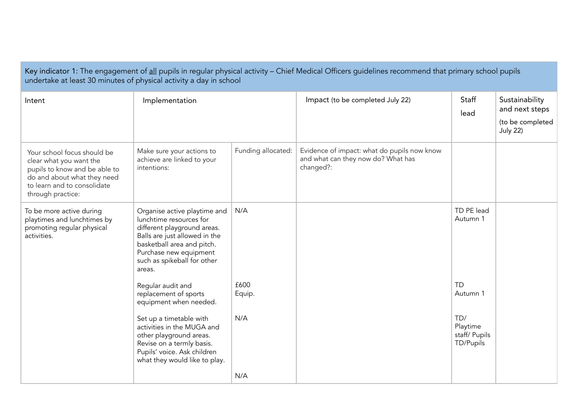| Key indicator 1: The engagement of all pupils in regular physical activity - Chief Medical Officers guidelines recommend that primary school pupils<br>undertake at least 30 minutes of physical activity a day in school |                                                                                                                                                                                                                          |                    |                                                                                                |                                               |                                                                         |  |
|---------------------------------------------------------------------------------------------------------------------------------------------------------------------------------------------------------------------------|--------------------------------------------------------------------------------------------------------------------------------------------------------------------------------------------------------------------------|--------------------|------------------------------------------------------------------------------------------------|-----------------------------------------------|-------------------------------------------------------------------------|--|
| Intent                                                                                                                                                                                                                    | Implementation                                                                                                                                                                                                           |                    | Impact (to be completed July 22)                                                               | Staff<br>lead                                 | Sustainability<br>and next steps<br>(to be completed<br><b>July 22)</b> |  |
| Your school focus should be<br>clear what you want the<br>pupils to know and be able to<br>do and about what they need<br>to learn and to consolidate<br>through practice:                                                | Make sure your actions to<br>achieve are linked to your<br>intentions:                                                                                                                                                   | Funding allocated: | Evidence of impact: what do pupils now know<br>and what can they now do? What has<br>changed?: |                                               |                                                                         |  |
| To be more active during<br>playtimes and lunchtimes by<br>promoting regular physical<br>activities.                                                                                                                      | Organise active playtime and<br>lunchtime resources for<br>different playground areas.<br>Balls are just allowed in the<br>basketball area and pitch.<br>Purchase new equipment<br>such as spikeball for other<br>areas. | N/A                |                                                                                                | TD PE lead<br>Autumn 1                        |                                                                         |  |
|                                                                                                                                                                                                                           | Regular audit and<br>replacement of sports<br>equipment when needed.                                                                                                                                                     | £600<br>Equip.     |                                                                                                | <b>TD</b><br>Autumn 1                         |                                                                         |  |
|                                                                                                                                                                                                                           | Set up a timetable with<br>activities in the MUGA and<br>other playground areas.<br>Revise on a termly basis.<br>Pupils' voice. Ask children<br>what they would like to play.                                            | N/A                |                                                                                                | TD/<br>Playtime<br>staff/ Pupils<br>TD/Pupils |                                                                         |  |
|                                                                                                                                                                                                                           |                                                                                                                                                                                                                          | N/A                |                                                                                                |                                               |                                                                         |  |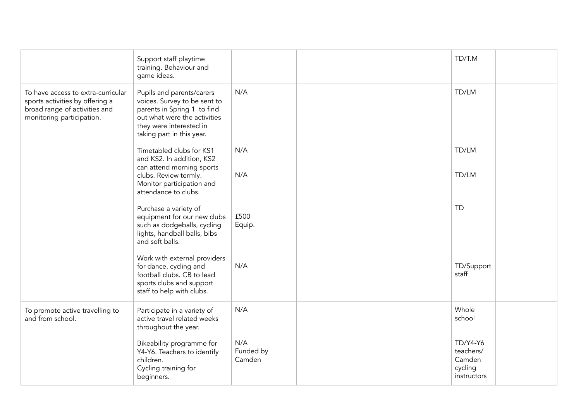|                                                                                                                                     | Support staff playtime<br>training. Behaviour and<br>game ideas.                                                                                                                 |                            | TD/T.M                                                           |  |
|-------------------------------------------------------------------------------------------------------------------------------------|----------------------------------------------------------------------------------------------------------------------------------------------------------------------------------|----------------------------|------------------------------------------------------------------|--|
| To have access to extra-curricular<br>sports activities by offering a<br>broad range of activities and<br>monitoring participation. | Pupils and parents/carers<br>voices. Survey to be sent to<br>parents in Spring 1 to find<br>out what were the activities<br>they were interested in<br>taking part in this year. | N/A                        | TD/LM                                                            |  |
|                                                                                                                                     | Timetabled clubs for KS1<br>and KS2. In addition, KS2<br>can attend morning sports                                                                                               | N/A                        | TD/LM                                                            |  |
|                                                                                                                                     | clubs. Review termly.<br>Monitor participation and<br>attendance to clubs.                                                                                                       | N/A                        | TD/LM                                                            |  |
|                                                                                                                                     | Purchase a variety of<br>equipment for our new clubs<br>such as dodgeballs, cycling<br>lights, handball balls, bibs<br>and soft balls.                                           | £500<br>Equip.             | <b>TD</b>                                                        |  |
|                                                                                                                                     | Work with external providers<br>for dance, cycling and<br>football clubs. CB to lead<br>sports clubs and support<br>staff to help with clubs.                                    | N/A                        | TD/Support<br>staff                                              |  |
| To promote active travelling to<br>and from school.                                                                                 | Participate in a variety of<br>active travel related weeks<br>throughout the year.                                                                                               | N/A                        | Whole<br>school                                                  |  |
|                                                                                                                                     | Bikeability programme for<br>Y4-Y6. Teachers to identify<br>children.<br>Cycling training for<br>beginners.                                                                      | N/A<br>Funded by<br>Camden | <b>TD/Y4-Y6</b><br>teachers/<br>Camden<br>cycling<br>instructors |  |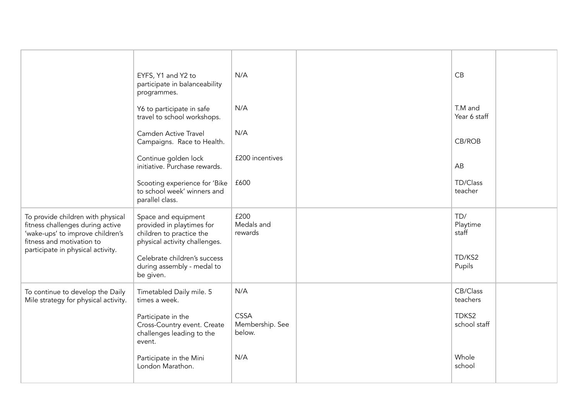|                                                                                                                                                                             | EYFS, Y1 and Y2 to<br>participate in balanceability<br>programmes.                                            | N/A                                      | CB                       |  |
|-----------------------------------------------------------------------------------------------------------------------------------------------------------------------------|---------------------------------------------------------------------------------------------------------------|------------------------------------------|--------------------------|--|
|                                                                                                                                                                             | Y6 to participate in safe<br>travel to school workshops.                                                      | N/A                                      | T.M and<br>Year 6 staff  |  |
|                                                                                                                                                                             | Camden Active Travel<br>Campaigns. Race to Health.                                                            | N/A                                      | CB/ROB                   |  |
|                                                                                                                                                                             | Continue golden lock<br>initiative. Purchase rewards.                                                         | £200 incentives                          | AB                       |  |
|                                                                                                                                                                             | Scooting experience for 'Bike<br>to school week' winners and<br>parallel class.                               | £600                                     | TD/Class<br>teacher      |  |
| To provide children with physical<br>fitness challenges during active<br>'wake-ups' to improve children's<br>fitness and motivation to<br>participate in physical activity. | Space and equipment<br>provided in playtimes for<br>children to practice the<br>physical activity challenges. | £200<br>Medals and<br>rewards            | TD/<br>Playtime<br>staff |  |
|                                                                                                                                                                             | Celebrate children's success<br>during assembly - medal to<br>be given.                                       |                                          | TD/KS2<br>Pupils         |  |
| To continue to develop the Daily<br>Mile strategy for physical activity.                                                                                                    | Timetabled Daily mile. 5<br>times a week.                                                                     | N/A                                      | CB/Class<br>teachers     |  |
|                                                                                                                                                                             | Participate in the<br>Cross-Country event. Create<br>challenges leading to the<br>event.                      | <b>CSSA</b><br>Membership. See<br>below. | TDKS2<br>school staff    |  |
|                                                                                                                                                                             | Participate in the Mini<br>London Marathon.                                                                   | N/A                                      | Whole<br>school          |  |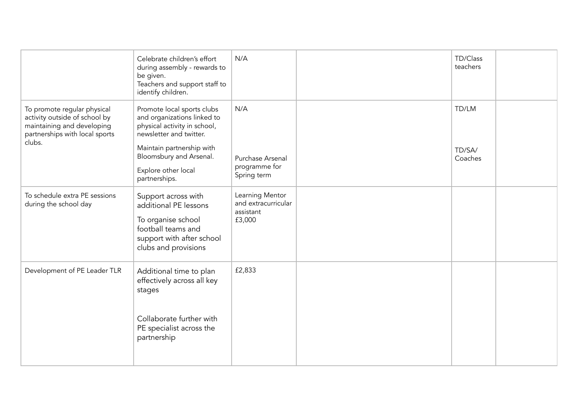|                                                                                                                                        | Celebrate children's effort<br>during assembly - rewards to<br>be given.<br>Teachers and support staff to<br>identify children.                                                                                      | N/A                                                           | TD/Class<br>teachers       |  |
|----------------------------------------------------------------------------------------------------------------------------------------|----------------------------------------------------------------------------------------------------------------------------------------------------------------------------------------------------------------------|---------------------------------------------------------------|----------------------------|--|
| To promote regular physical<br>activity outside of school by<br>maintaining and developing<br>partnerships with local sports<br>clubs. | Promote local sports clubs<br>and organizations linked to<br>physical activity in school,<br>newsletter and twitter.<br>Maintain partnership with<br>Bloomsbury and Arsenal.<br>Explore other local<br>partnerships. | N/A<br>Purchase Arsenal<br>programme for<br>Spring term       | TD/LM<br>TD/SA/<br>Coaches |  |
| To schedule extra PE sessions<br>during the school day                                                                                 | Support across with<br>additional PE lessons<br>To organise school<br>football teams and<br>support with after school<br>clubs and provisions                                                                        | Learning Mentor<br>and extracurricular<br>assistant<br>£3,000 |                            |  |
| Development of PE Leader TLR                                                                                                           | Additional time to plan<br>effectively across all key<br>stages<br>Collaborate further with<br>PE specialist across the<br>partnership                                                                               | £2,833                                                        |                            |  |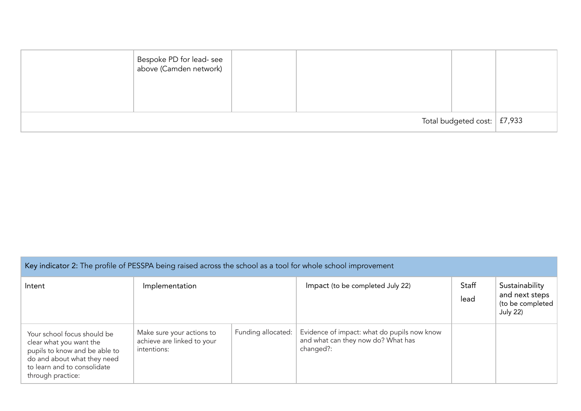| Bespoke PD for lead- see<br>  above (Camden network) |  |                                    |  |
|------------------------------------------------------|--|------------------------------------|--|
|                                                      |  | Total budgeted cost: $\mid$ £7,933 |  |

| Key indicator 2: The profile of PESSPA being raised across the school as a tool for whole school improvement                                                               |                                                                        |                    |                                                                                                |               |                                                                         |  |
|----------------------------------------------------------------------------------------------------------------------------------------------------------------------------|------------------------------------------------------------------------|--------------------|------------------------------------------------------------------------------------------------|---------------|-------------------------------------------------------------------------|--|
| Intent                                                                                                                                                                     | Implementation                                                         |                    | Impact (to be completed July 22)                                                               | Staff<br>lead | Sustainability<br>and next steps<br>(to be completed<br><b>July 22)</b> |  |
| Your school focus should be<br>clear what you want the<br>pupils to know and be able to<br>do and about what they need<br>to learn and to consolidate<br>through practice: | Make sure your actions to<br>achieve are linked to your<br>intentions: | Funding allocated: | Evidence of impact: what do pupils now know<br>and what can they now do? What has<br>changed?: |               |                                                                         |  |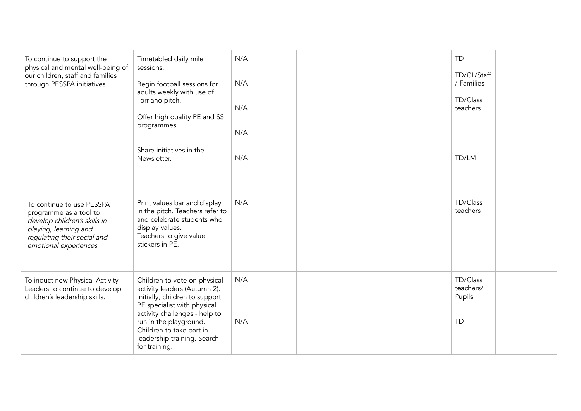| To continue to support the<br>physical and mental well-being of<br>our children, staff and families<br>through PESSPA initiatives.                                   | Timetabled daily mile<br>sessions.<br>Begin football sessions for<br>adults weekly with use of<br>Torriano pitch.<br>Offer high quality PE and SS<br>programmes.<br>Share initiatives in the<br>Newsletter.                                                          | N/A<br>N/A<br>N/A<br>N/A<br>N/A | <b>TD</b><br>TD/CL/Staff<br>/ Families<br>TD/Class<br>teachers<br>TD/LM |  |
|----------------------------------------------------------------------------------------------------------------------------------------------------------------------|----------------------------------------------------------------------------------------------------------------------------------------------------------------------------------------------------------------------------------------------------------------------|---------------------------------|-------------------------------------------------------------------------|--|
| To continue to use PESSPA<br>programme as a tool to<br>develop children's skills in<br>playing, learning and<br>regulating their social and<br>emotional experiences | Print values bar and display<br>in the pitch. Teachers refer to<br>and celebrate students who<br>display values.<br>Teachers to give value<br>stickers in PE.                                                                                                        | N/A                             | TD/Class<br>teachers                                                    |  |
| To induct new Physical Activity<br>Leaders to continue to develop<br>children's leadership skills.                                                                   | Children to vote on physical<br>activity leaders (Autumn 2).<br>Initially, children to support<br>PE specialist with physical<br>activity challenges - help to<br>run in the playground.<br>Children to take part in<br>leadership training. Search<br>for training. | N/A<br>N/A                      | TD/Class<br>teachers/<br>Pupils<br><b>TD</b>                            |  |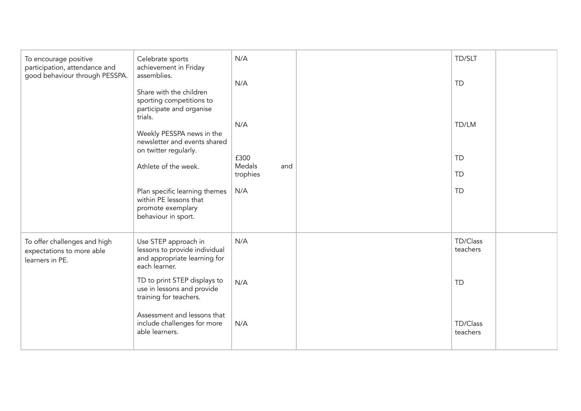| To encourage positive<br>Celebrate sports<br>achievement in Friday<br>participation, attendance and<br>good behaviour through PESSPA.<br>assemblies.<br>Share with the children<br>sporting competitions to<br>participate and organise | N/A<br>N/A                                                                                             | TD/SLT<br><b>TD</b>   |                      |
|-----------------------------------------------------------------------------------------------------------------------------------------------------------------------------------------------------------------------------------------|--------------------------------------------------------------------------------------------------------|-----------------------|----------------------|
|                                                                                                                                                                                                                                         | trials.<br>Weekly PESSPA news in the<br>newsletter and events shared<br>on twitter regularly.          | N/A                   | TD/LM                |
|                                                                                                                                                                                                                                         | Athlete of the week.                                                                                   | £300<br>Medals<br>and | <b>TD</b>            |
|                                                                                                                                                                                                                                         |                                                                                                        | trophies              | <b>TD</b>            |
|                                                                                                                                                                                                                                         | Plan specific learning themes<br>within PE lessons that<br>promote exemplary<br>behaviour in sport.    | N/A                   | <b>TD</b>            |
| To offer challenges and high<br>expectations to more able<br>learners in PE.                                                                                                                                                            | Use STEP approach in<br>lessons to provide individual<br>and appropriate learning for<br>each learner. | N/A                   | TD/Class<br>teachers |
|                                                                                                                                                                                                                                         | TD to print STEP displays to<br>use in lessons and provide<br>training for teachers.                   | N/A                   | <b>TD</b>            |
|                                                                                                                                                                                                                                         | Assessment and lessons that<br>include challenges for more<br>able learners.                           | N/A                   | TD/Class<br>teachers |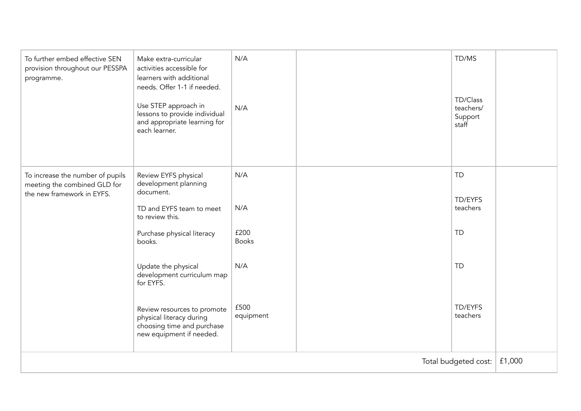| To further embed effective SEN<br>provision throughout our PESSPA<br>programme.                | Make extra-curricular<br>activities accessible for<br>learners with additional<br>needs. Offer 1-1 if needed.<br>Use STEP approach in<br>lessons to provide individual<br>and appropriate learning for<br>each learner. | N/A<br>N/A           |  | TD/MS<br>TD/Class<br>teachers/<br>Support<br>staff |        |
|------------------------------------------------------------------------------------------------|-------------------------------------------------------------------------------------------------------------------------------------------------------------------------------------------------------------------------|----------------------|--|----------------------------------------------------|--------|
| To increase the number of pupils<br>meeting the combined GLD for<br>the new framework in EYFS. | Review EYFS physical<br>development planning<br>document.<br>TD and EYFS team to meet                                                                                                                                   | N/A<br>N/A           |  | <b>TD</b><br>TD/EYFS<br>teachers                   |        |
|                                                                                                | to review this.<br>Purchase physical literacy<br>books.                                                                                                                                                                 | £200<br><b>Books</b> |  | <b>TD</b>                                          |        |
|                                                                                                | Update the physical<br>development curriculum map<br>for EYFS.                                                                                                                                                          | N/A                  |  | <b>TD</b>                                          |        |
|                                                                                                | Review resources to promote<br>physical literacy during<br>choosing time and purchase<br>new equipment if needed.                                                                                                       | £500<br>equipment    |  | TD/EYFS<br>teachers                                |        |
| Total budgeted cost:                                                                           |                                                                                                                                                                                                                         |                      |  |                                                    | £1,000 |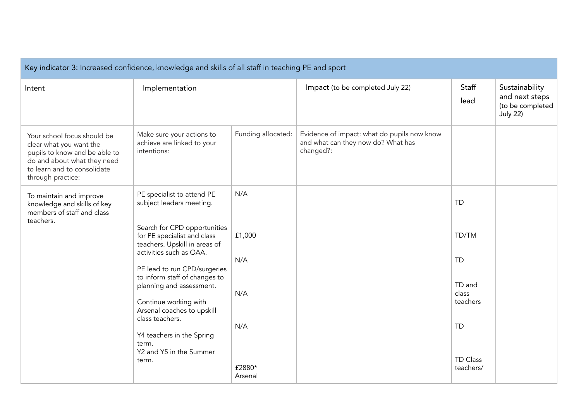| Key indicator 3: Increased confidence, knowledge and skills of all staff in teaching PE and sport                                                                          |                                                                                                                                                                                                                                                                                                                                                                                                                                    |                                                         |                                                                                                |                                                                                                             |                                                                         |  |
|----------------------------------------------------------------------------------------------------------------------------------------------------------------------------|------------------------------------------------------------------------------------------------------------------------------------------------------------------------------------------------------------------------------------------------------------------------------------------------------------------------------------------------------------------------------------------------------------------------------------|---------------------------------------------------------|------------------------------------------------------------------------------------------------|-------------------------------------------------------------------------------------------------------------|-------------------------------------------------------------------------|--|
| Intent                                                                                                                                                                     | Implementation                                                                                                                                                                                                                                                                                                                                                                                                                     |                                                         | Impact (to be completed July 22)                                                               | Staff<br>lead                                                                                               | Sustainability<br>and next steps<br>(to be completed<br><b>July 22)</b> |  |
| Your school focus should be<br>clear what you want the<br>pupils to know and be able to<br>do and about what they need<br>to learn and to consolidate<br>through practice: | Make sure your actions to<br>achieve are linked to your<br>intentions:                                                                                                                                                                                                                                                                                                                                                             | Funding allocated:                                      | Evidence of impact: what do pupils now know<br>and what can they now do? What has<br>changed?: |                                                                                                             |                                                                         |  |
| To maintain and improve<br>knowledge and skills of key<br>members of staff and class<br>teachers.                                                                          | PE specialist to attend PE<br>subject leaders meeting.<br>Search for CPD opportunities<br>for PE specialist and class<br>teachers. Upskill in areas of<br>activities such as OAA.<br>PE lead to run CPD/surgeries<br>to inform staff of changes to<br>planning and assessment.<br>Continue working with<br>Arsenal coaches to upskill<br>class teachers.<br>Y4 teachers in the Spring<br>term.<br>Y2 and Y5 in the Summer<br>term. | N/A<br>£1,000<br>N/A<br>N/A<br>N/A<br>£2880*<br>Arsenal |                                                                                                | <b>TD</b><br>TD/TM<br><b>TD</b><br>TD and<br>class<br>teachers<br><b>TD</b><br><b>TD Class</b><br>teachers/ |                                                                         |  |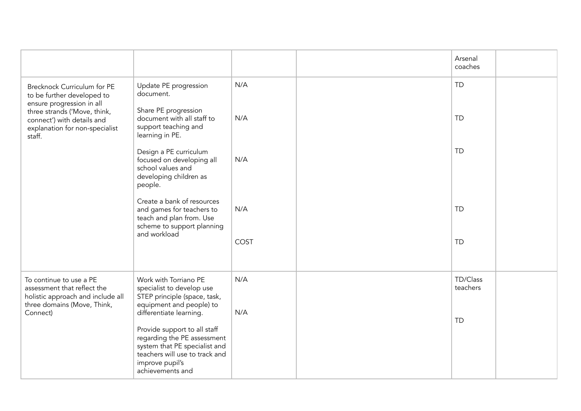|                                                                                                                                     |                                                                                                                                                                                                  |      | Arsenal<br>coaches   |  |
|-------------------------------------------------------------------------------------------------------------------------------------|--------------------------------------------------------------------------------------------------------------------------------------------------------------------------------------------------|------|----------------------|--|
| Brecknock Curriculum for PE<br>to be further developed to                                                                           | Update PE progression<br>document.                                                                                                                                                               | N/A  | <b>TD</b>            |  |
| ensure progression in all<br>three strands ('Move, think,<br>connect') with details and<br>explanation for non-specialist<br>staff. | Share PE progression<br>document with all staff to<br>support teaching and<br>learning in PE.                                                                                                    | N/A  | <b>TD</b>            |  |
|                                                                                                                                     | Design a PE curriculum<br>focused on developing all<br>school values and<br>developing children as<br>people.                                                                                    | N/A  | <b>TD</b>            |  |
|                                                                                                                                     | Create a bank of resources<br>and games for teachers to<br>teach and plan from. Use<br>scheme to support planning<br>and workload                                                                | N/A  | <b>TD</b>            |  |
|                                                                                                                                     |                                                                                                                                                                                                  | COST | <b>TD</b>            |  |
| To continue to use a PE<br>assessment that reflect the<br>holistic approach and include all<br>three domains (Move, Think,          | Work with Torriano PE<br>specialist to develop use<br>STEP principle (space, task,<br>equipment and people) to                                                                                   | N/A  | TD/Class<br>teachers |  |
| Connect)                                                                                                                            | differentiate learning.<br>Provide support to all staff<br>regarding the PE assessment<br>system that PE specialist and<br>teachers will use to track and<br>improve pupil's<br>achievements and | N/A  | <b>TD</b>            |  |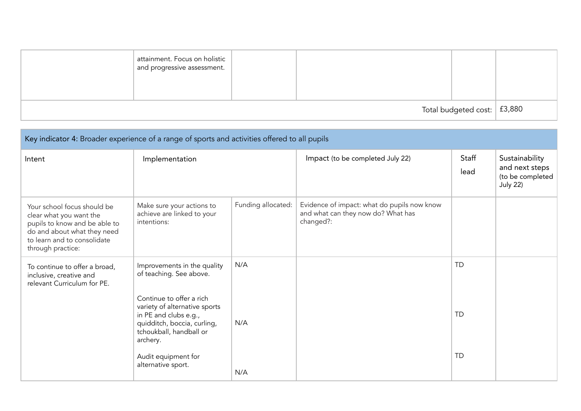|                                     | attainment. Focus on holistic<br>and progressive assessment. |  |  |  |  |
|-------------------------------------|--------------------------------------------------------------|--|--|--|--|
| Total budgeted cost: $\vert$ £3,880 |                                                              |  |  |  |  |

| Key indicator 4: Broader experience of a range of sports and activities offered to all pupils                                                                              |                                                                                                                                                          |                    |                                                                                                |               |                                                                         |  |  |
|----------------------------------------------------------------------------------------------------------------------------------------------------------------------------|----------------------------------------------------------------------------------------------------------------------------------------------------------|--------------------|------------------------------------------------------------------------------------------------|---------------|-------------------------------------------------------------------------|--|--|
| Intent                                                                                                                                                                     | Implementation                                                                                                                                           |                    | Impact (to be completed July 22)                                                               | Staff<br>lead | Sustainability<br>and next steps<br>(to be completed<br><b>July 22)</b> |  |  |
| Your school focus should be<br>clear what you want the<br>pupils to know and be able to<br>do and about what they need<br>to learn and to consolidate<br>through practice: | Make sure your actions to<br>achieve are linked to your<br>intentions:                                                                                   | Funding allocated: | Evidence of impact: what do pupils now know<br>and what can they now do? What has<br>changed?: |               |                                                                         |  |  |
| To continue to offer a broad,<br>inclusive, creative and<br>relevant Curriculum for PE.                                                                                    | Improvements in the quality<br>of teaching. See above.                                                                                                   | N/A                |                                                                                                | <b>TD</b>     |                                                                         |  |  |
|                                                                                                                                                                            | Continue to offer a rich<br>variety of alternative sports<br>in PE and clubs e.g.,<br>quidditch, boccia, curling,<br>tchoukball, handball or<br>archery. | N/A                |                                                                                                | <b>TD</b>     |                                                                         |  |  |
|                                                                                                                                                                            | Audit equipment for<br>alternative sport.                                                                                                                | N/A                |                                                                                                | <b>TD</b>     |                                                                         |  |  |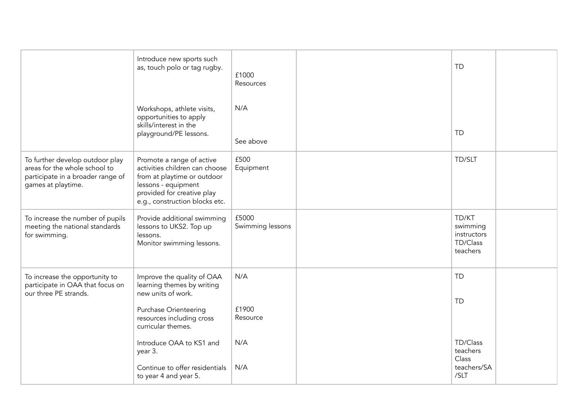|                                                                                                                             | Introduce new sports such<br>as, touch polo or tag rugby.                                                                                                                         | £1000<br>Resources        | <b>TD</b>                                                |  |
|-----------------------------------------------------------------------------------------------------------------------------|-----------------------------------------------------------------------------------------------------------------------------------------------------------------------------------|---------------------------|----------------------------------------------------------|--|
|                                                                                                                             | Workshops, athlete visits,<br>opportunities to apply<br>skills/interest in the<br>playground/PE lessons.                                                                          | N/A<br>See above          | <b>TD</b>                                                |  |
| To further develop outdoor play<br>areas for the whole school to<br>participate in a broader range of<br>games at playtime. | Promote a range of active<br>activities children can choose<br>from at playtime or outdoor<br>lessons - equipment<br>provided for creative play<br>e.g., construction blocks etc. | £500<br>Equipment         | TD/SLT                                                   |  |
| To increase the number of pupils<br>meeting the national standards<br>for swimming.                                         | Provide additional swimming<br>lessons to UKS2. Top up<br>lessons.<br>Monitor swimming lessons.                                                                                   | £5000<br>Swimming lessons | TD/KT<br>swimming<br>instructors<br>TD/Class<br>teachers |  |
| To increase the opportunity to<br>participate in OAA that focus on<br>our three PE strands.                                 | Improve the quality of OAA<br>learning themes by writing<br>new units of work.<br><b>Purchase Orienteering</b><br>resources including cross<br>curricular themes.                 | N/A<br>£1900<br>Resource  | <b>TD</b><br><b>TD</b>                                   |  |
|                                                                                                                             | Introduce OAA to KS1 and<br>year 3.<br>Continue to offer residentials<br>to year 4 and year 5.                                                                                    | N/A<br>N/A                | TD/Class<br>teachers<br>Class<br>teachers/SA<br>/SLT     |  |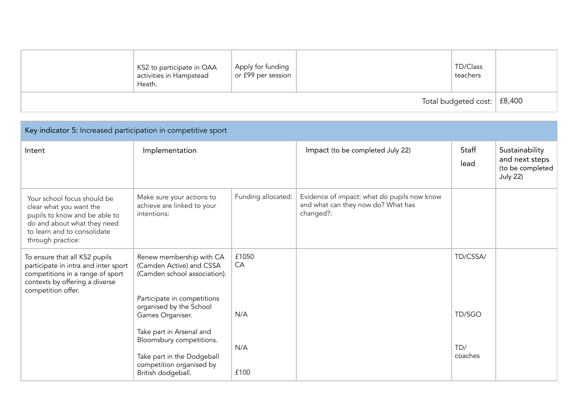|                               | KS2 to participate in OAA<br>activities in Hampstead<br>Heath. | Apply for funding<br>or £99 per session |  | TD/Class<br>teachers |  |
|-------------------------------|----------------------------------------------------------------|-----------------------------------------|--|----------------------|--|
| Total budgeted cost:   £8,400 |                                                                |                                         |  |                      |  |

| Key indicator 5: Increased participation in competitive sport                                                                                                              |                                                                                                                                      |                    |                                                                                                |                |                                                                         |  |  |
|----------------------------------------------------------------------------------------------------------------------------------------------------------------------------|--------------------------------------------------------------------------------------------------------------------------------------|--------------------|------------------------------------------------------------------------------------------------|----------------|-------------------------------------------------------------------------|--|--|
| Intent                                                                                                                                                                     | Implementation                                                                                                                       |                    | Impact (to be completed July 22)                                                               | Staff<br>lead  | Sustainability<br>and next steps<br>(to be completed<br><b>July 22)</b> |  |  |
| Your school focus should be<br>clear what you want the<br>pupils to know and be able to<br>do and about what they need<br>to learn and to consolidate<br>through practice: | Make sure your actions to<br>achieve are linked to your<br>intentions:                                                               | Funding allocated: | Evidence of impact: what do pupils now know<br>and what can they now do? What has<br>changed?: |                |                                                                         |  |  |
| To ensure that all KS2 pupils<br>participate in intra and inter sport<br>competitions in a range of sport<br>contexts by offering a diverse<br>competition offer.          | Renew membership with CA<br>(Camden Active) and CSSA<br>(Camden school association).                                                 | £1050<br>CA        |                                                                                                | TD/CSSA/       |                                                                         |  |  |
|                                                                                                                                                                            | Participate in competitions<br>organised by the School<br>Games Organiser.                                                           | N/A                |                                                                                                | TD/SGO         |                                                                         |  |  |
|                                                                                                                                                                            | Take part in Arsenal and<br>Bloomsbury competitions.<br>Take part in the Dodgeball<br>competition organised by<br>British dodgeball. | N/A<br>£100        |                                                                                                | TD/<br>coaches |                                                                         |  |  |